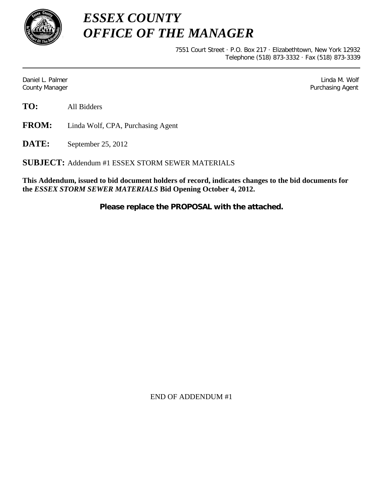

*ESSEX COUNTY OFFICE OF THE MANAGER*

> 7551 Court Street · P.O. Box 217 · Elizabethtown, New York 12932 Telephone (518) 873-3332 · Fax (518) 873-3339

Daniel L. Palmer Later and the control of the control of the control of the control of the control of the control of the control of the control of the control of the control of the control of the control of the control of County Manager **Purchasing Agent** County Manager **Purchasing Agent** County Manager

**TO:** All Bidders

**FROM:** Linda Wolf, CPA, Purchasing Agent

**DATE:** September 25, 2012

**SUBJECT:** Addendum #1 ESSEX STORM SEWER MATERIALS

**This Addendum, issued to bid document holders of record, indicates changes to the bid documents for the** *ESSEX STORM SEWER MATERIALS* **Bid Opening October 4, 2012.**

**Please replace the PROPOSAL with the attached.**

END OF ADDENDUM #1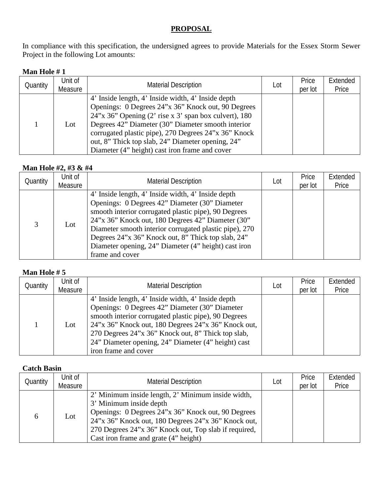# **PROPOSAL**

In compliance with this specification, the undersigned agrees to provide Materials for the Essex Storm Sewer Project in the following Lot amounts:

### **Man Hole # 1**

| Quantity | Unit of<br>Measure | <b>Material Description</b>                                                                                                                                                                                                                                                                                                                                                               | Lot | Price<br>per lot | Extended<br>Price |
|----------|--------------------|-------------------------------------------------------------------------------------------------------------------------------------------------------------------------------------------------------------------------------------------------------------------------------------------------------------------------------------------------------------------------------------------|-----|------------------|-------------------|
|          | Lot                | 4' Inside length, 4' Inside width, 4' Inside depth<br>Openings: 0 Degrees 24"x 36" Knock out, 90 Degrees<br>$24$ "x 36" Opening (2' rise x 3' span box culvert), 180<br>Degrees 42" Diameter (30" Diameter smooth interior<br>corrugated plastic pipe), 270 Degrees 24"x 36" Knock<br>out, 8" Thick top slab, 24" Diameter opening, 24"<br>Diameter (4" height) cast iron frame and cover |     |                  |                   |

## **Man Hole #2, #3 & #4**

| Quantity | Unit of<br>Measure | <b>Material Description</b>                                                                                                                                                                                                                                                                                                                                                                                  | Lot | Price<br>per lot | Extended<br>Price |
|----------|--------------------|--------------------------------------------------------------------------------------------------------------------------------------------------------------------------------------------------------------------------------------------------------------------------------------------------------------------------------------------------------------------------------------------------------------|-----|------------------|-------------------|
| 3        | Lot                | 4' Inside length, 4' Inside width, 4' Inside depth<br>Openings: 0 Degrees 42" Diameter (30" Diameter<br>smooth interior corrugated plastic pipe), 90 Degrees<br>24"x 36" Knock out, 180 Degrees 42" Diameter (30"<br>Diameter smooth interior corrugated plastic pipe), 270<br>Degrees 24"x 36" Knock out, 8" Thick top slab, 24"<br>Diameter opening, 24" Diameter (4" height) cast iron<br>frame and cover |     |                  |                   |

### **Man Hole # 5**

| Quantity | Unit of<br>Measure | <b>Material Description</b>                                                                                                                                                                                                                                                                                                                              | Lot | Price<br>per lot | Extended<br>Price |
|----------|--------------------|----------------------------------------------------------------------------------------------------------------------------------------------------------------------------------------------------------------------------------------------------------------------------------------------------------------------------------------------------------|-----|------------------|-------------------|
|          | Lot                | 4' Inside length, 4' Inside width, 4' Inside depth<br>Openings: 0 Degrees 42" Diameter (30" Diameter<br>smooth interior corrugated plastic pipe), 90 Degrees<br>24"x 36" Knock out, 180 Degrees 24"x 36" Knock out,<br>270 Degrees 24"x 36" Knock out, 8" Thick top slab,<br>24" Diameter opening, 24" Diameter (4" height) cast<br>iron frame and cover |     |                  |                   |

#### **Catch Basin**

| Quantity | Unit of<br>Measure | <b>Material Description</b>                                                                                                                                                                                                                                                                  | Lot | Price<br>per lot | Extended<br>Price |
|----------|--------------------|----------------------------------------------------------------------------------------------------------------------------------------------------------------------------------------------------------------------------------------------------------------------------------------------|-----|------------------|-------------------|
| 6        | Lot                | 2' Minimum inside length, 2' Minimum inside width,<br>3' Minimum inside depth<br>Openings: 0 Degrees 24"x 36" Knock out, 90 Degrees<br>24"x 36" Knock out, 180 Degrees 24"x 36" Knock out,<br>270 Degrees 24"x 36" Knock out, Top slab if required,<br>Cast iron frame and grate (4" height) |     |                  |                   |